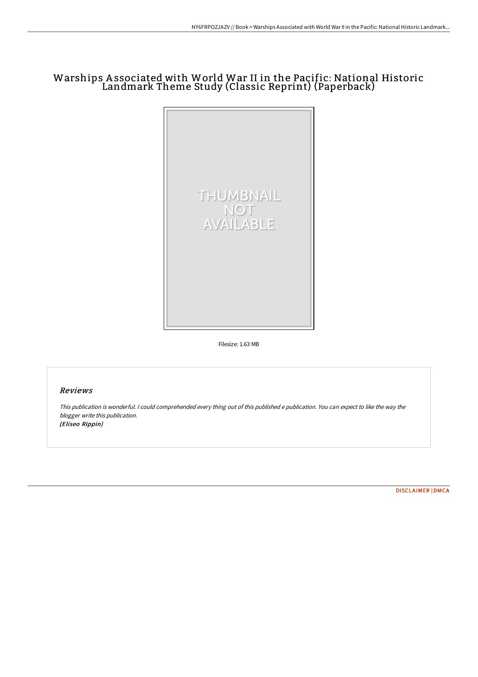## Warships A ssociated with World War II in the Pacific: National Historic Landmark Theme Study (Classic Reprint) (Paperback)



Filesize: 1.63 MB

## Reviews

This publication is wonderful. <sup>I</sup> could comprehended every thing out of this published <sup>e</sup> publication. You can expect to like the way the blogger write this publication. (Eliseo Rippin)

[DISCLAIMER](http://techno-pub.tech/disclaimer.html) | [DMCA](http://techno-pub.tech/dmca.html)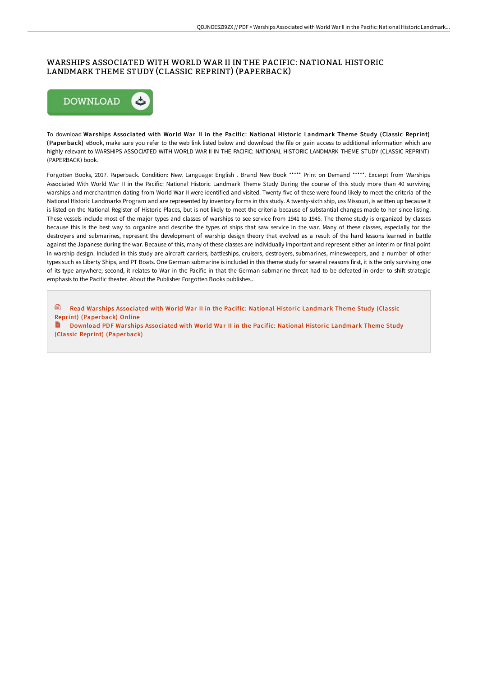## WARSHIPS ASSOCIATED WITH WORLD WAR II IN THE PACIFIC: NATIONAL HISTORIC LANDMARK THEME STUDY (CLASSIC REPRINT) (PAPERBACK)



To download War ships Associated with World War II in the Pacific: National Historic Landmark Theme Study (Classic Reprint) (Paperback) eBook, make sure you refer to the web link listed below and download the file or gain access to additional information which are highly relevant to WARSHIPS ASSOCIATED WITH WORLD WAR II IN THE PACIFIC: NATIONAL HISTORIC LANDMARK THEME STUDY (CLASSIC REPRINT) (PAPERBACK) book.

Forgotten Books, 2017. Paperback. Condition: New. Language: English . Brand New Book \*\*\*\*\* Print on Demand \*\*\*\*\*. Excerpt from Warships Associated With World War II in the Pacific: National Historic Landmark Theme Study During the course of this study more than 40 surviving warships and merchantmen dating from World War II were identified and visited. Twenty-five of these were found likely to meet the criteria of the National Historic Landmarks Program and are represented by inventory forms in this study. A twenty-sixth ship, uss Missouri, is written up because it is listed on the National Register of Historic Places, but is not likely to meet the criteria because of substantial changes made to her since listing. These vessels include most of the major types and classes of warships to see service from 1941 to 1945. The theme study is organized by classes because this is the best way to organize and describe the types of ships that saw service in the war. Many of these classes, especially for the destroyers and submarines, represent the development of warship design theory that evolved as a result of the hard lessons learned in battle against the Japanese during the war. Because of this, many of these classes are individually important and represent either an interim or final point in warship design. Included in this study are aircraft carriers, battleships, cruisers, destroyers, submarines, minesweepers, and a number of other types such as Liberty Ships, and PT Boats. One German submarine is included in this theme study for several reasons first, it is the only surviving one of its type anywhere; second, it relates to War in the Pacific in that the German submarine threat had to be defeated in order to shift strategic emphasis to the Pacific theater. About the Publisher Forgotten Books publishes...

<sup>®</sup> Read Warships Associated with World War II in the Pacific: National Historic Landmark Theme Study (Classic Reprint) [\(Paperback\)](http://techno-pub.tech/warships-associated-with-world-war-ii-in-the-pac.html) Online Download PDF Warships Associated with World War II in the Pacific: National Historic Landmark Theme Study (Classic Reprint) [\(Paperback\)](http://techno-pub.tech/warships-associated-with-world-war-ii-in-the-pac.html)